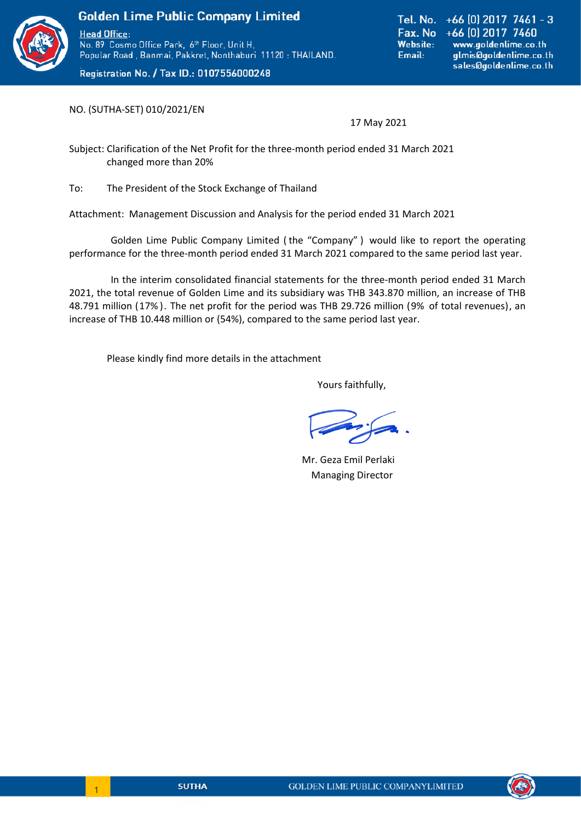

Registration No. / Tax ID.: 0107556000248

Tel. No. +66 [0] 2017 7461 - 3 Fax. No +66 [0] 2017 7460 **Website:** www.goldenlime.co.th Email: glmis@goldenlime.co.th sales@goldenlime.co.th

NO. (SUTHA-SET) 010/2021/EN

17 May 2021

Subject: Clarification of the Net Profit for the three-month period ended 31 March 2021 changed more than 20%

To: The President of the Stock Exchange of Thailand

Attachment: Management Discussion and Analysis for the period ended 31 March 2021

Golden Lime Public Company Limited ( the "Company" ) would like to report the operating performance for the three-month period ended 31 March 2021 compared to the same period last year.

In the interim consolidated financial statements for the three-month period ended 31 March 2021, the total revenue of Golden Lime and its subsidiary was THB 343.870 million, an increase of THB 48.791 million (17% ). The net profit for the period was THB 29.726 million (9% of total revenues), an increase of THB 10.448 million or (54%), compared to the same period last year.

Please kindly find more details in the attachment

Yours faithfully,

 Mr. Geza Emil Perlaki Managing Director



l,

 $\begin{array}{|c|c|c|c|c|}\hline \quad & 1 \\ \hline \end{array}$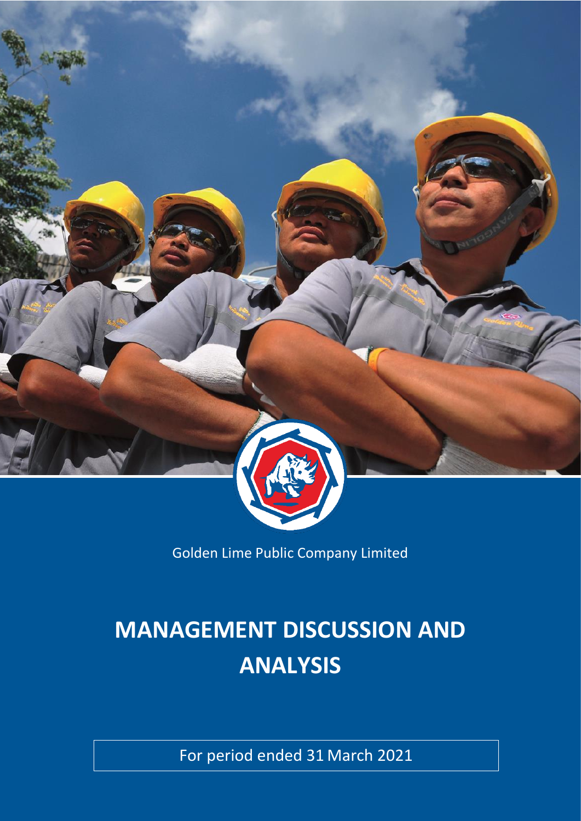

Golden Lime Public Company Limited

# **MANAGEMENT DISCUSSION AND ANALYSIS**

For period ended 31 March 2021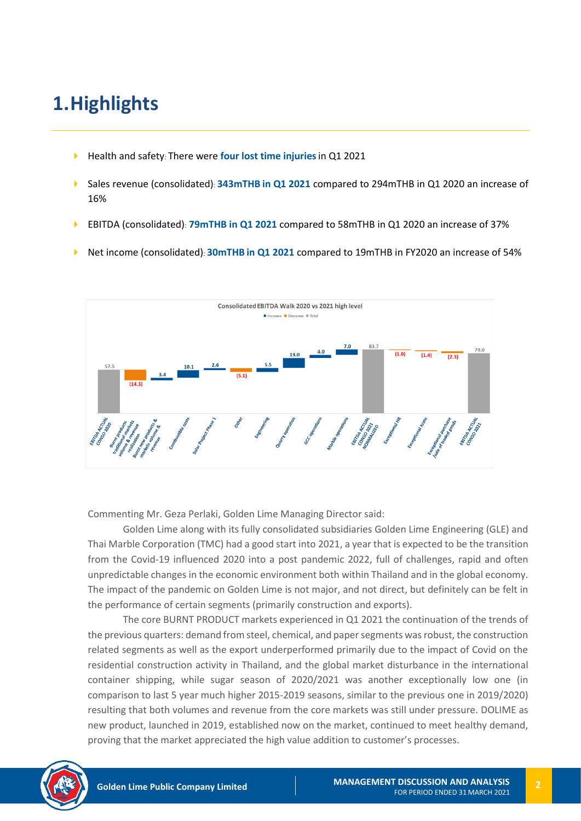# **1.Highlights**

- Health and safety: There were **four lost time injuries**in Q1 2021
- Sales revenue (consolidated): **343mTHB in Q1 2021** compared to 294mTHB in Q1 2020 an increase of 16%
- EBITDA (consolidated): **79mTHB in Q1 2021** compared to 58mTHB in Q1 2020 an increase of 37%
- Net income (consolidated): **30mTHB in Q1 2021** compared to 19mTHB in FY2020 an increase of 54%



Commenting Mr. Geza Perlaki, Golden Lime Managing Director said:

Golden Lime along with its fully consolidated subsidiaries Golden Lime Engineering (GLE) and Thai Marble Corporation (TMC) had a good start into 2021, a year that is expected to be the transition from the Covid-19 influenced 2020 into a post pandemic 2022, full of challenges, rapid and often unpredictable changes in the economic environment both within Thailand and in the global economy. The impact of the pandemic on Golden Lime is not major, and not direct, but definitely can be felt in the performance of certain segments (primarily construction and exports).

The core BURNT PRODUCT markets experienced in Q1 2021 the continuation of the trends of the previous quarters: demand from steel, chemical, and paper segments was robust, the construction related segments as well as the export underperformed primarily due to the impact of Covid on the residential construction activity in Thailand, and the global market disturbance in the international container shipping, while sugar season of 2020/2021 was another exceptionally low one (in comparison to last 5 year much higher 2015-2019 seasons, similar to the previous one in 2019/2020) resulting that both volumes and revenue from the core markets was still under pressure. DOLIME as new product, launched in 2019, established now on the market, continued to meet healthy demand, proving that the market appreciated the high value addition to customer's processes.

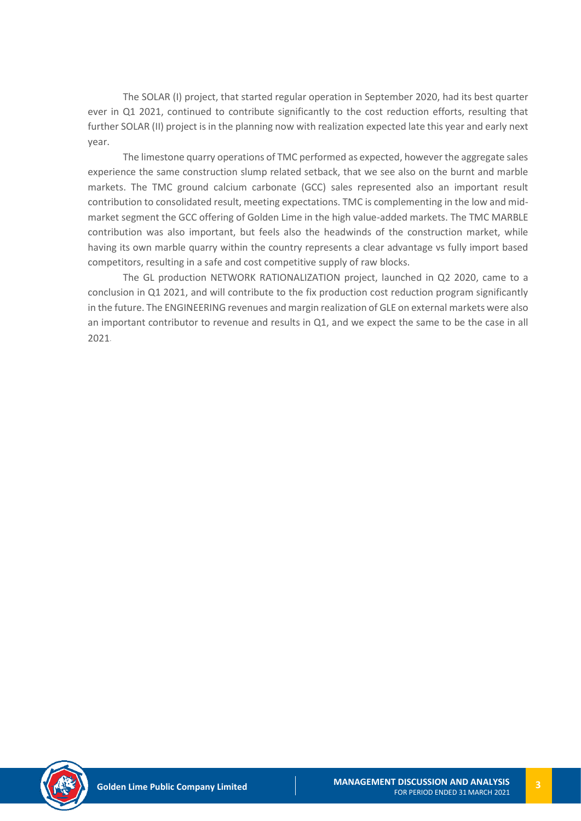The SOLAR (I) project, that started regular operation in September 2020, had its best quarter ever in Q1 2021, continued to contribute significantly to the cost reduction efforts, resulting that further SOLAR (II) project is in the planning now with realization expected late this year and early next year.

The limestone quarry operations of TMC performed as expected, however the aggregate sales experience the same construction slump related setback, that we see also on the burnt and marble markets. The TMC ground calcium carbonate (GCC) sales represented also an important result contribution to consolidated result, meeting expectations. TMC is complementing in the low and midmarket segment the GCC offering of Golden Lime in the high value-added markets. The TMC MARBLE contribution was also important, but feels also the headwinds of the construction market, while having its own marble quarry within the country represents a clear advantage vs fully import based competitors, resulting in a safe and cost competitive supply of raw blocks.

The GL production NETWORK RATIONALIZATION project, launched in Q2 2020, came to a conclusion in Q1 2021, and will contribute to the fix production cost reduction program significantly in the future. The ENGINEERING revenues and margin realization of GLE on external markets were also an important contributor to revenue and results in Q1, and we expect the same to be the case in all 2021.

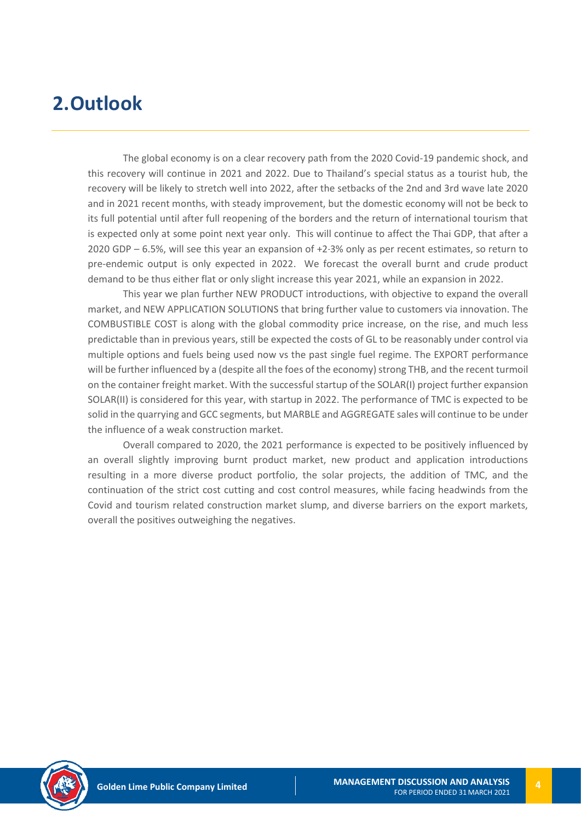## **2.Outlook**

The global economy is on a clear recovery path from the 2020 Covid-19 pandemic shock, and this recovery will continue in 2021 and 2022. Due to Thailand's special status as a tourist hub, the recovery will be likely to stretch well into 2022, after the setbacks of the 2nd and 3rd wave late 2020 and in 2021 recent months, with steady improvement, but the domestic economy will not be beck to its full potential until after full reopening of the borders and the return of international tourism that is expected only at some point next year only. This will continue to affect the Thai GDP, that after a 2020 GDP – 6.5%, will see this year an expansion of +2-3% only as per recent estimates, so return to pre-endemic output is only expected in 2022. We forecast the overall burnt and crude product demand to be thus either flat or only slight increase this year 2021, while an expansion in 2022.

This year we plan further NEW PRODUCT introductions, with objective to expand the overall market, and NEW APPLICATION SOLUTIONS that bring further value to customers via innovation. The COMBUSTIBLE COST is along with the global commodity price increase, on the rise, and much less predictable than in previous years, still be expected the costs of GL to be reasonably under control via multiple options and fuels being used now vs the past single fuel regime. The EXPORT performance will be further influenced by a (despite all the foes of the economy) strong THB, and the recent turmoil on the container freight market. With the successful startup of the SOLAR(I) project further expansion SOLAR(II) is considered for this year, with startup in 2022. The performance of TMC is expected to be solid in the quarrying and GCC segments, but MARBLE and AGGREGATE sales will continue to be under the influence of a weak construction market.

Overall compared to 2020, the 2021 performance is expected to be positively influenced by an overall slightly improving burnt product market, new product and application introductions resulting in a more diverse product portfolio, the solar projects, the addition of TMC, and the continuation of the strict cost cutting and cost control measures, while facing headwinds from the Covid and tourism related construction market slump, and diverse barriers on the export markets, overall the positives outweighing the negatives.

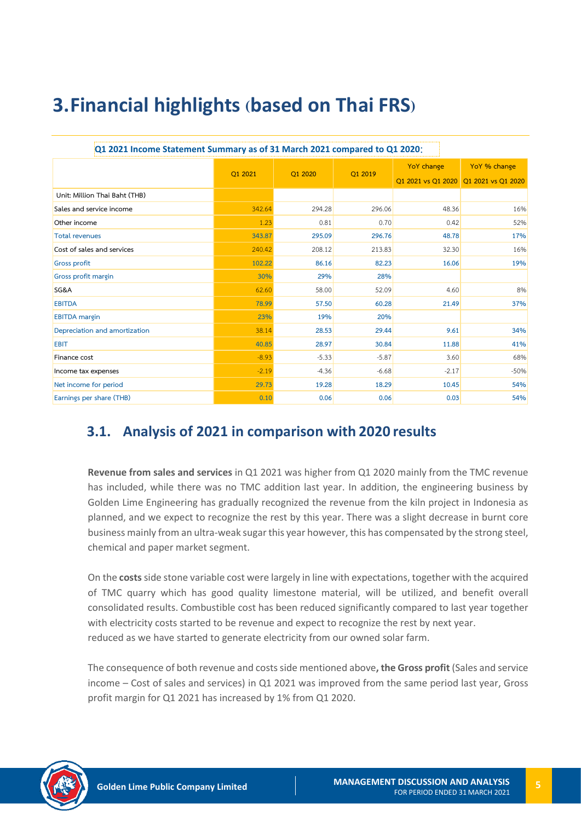# **3.Financial highlights (based on Thai FRS)**

| Q1 2021 Income Statement Summary as of 31 March 2021 compared to Q1 2020: |         |         |         |                    |                    |
|---------------------------------------------------------------------------|---------|---------|---------|--------------------|--------------------|
|                                                                           |         | O1 2020 |         | <b>YoY</b> change  | YoY % change       |
|                                                                           | Q1 2021 |         | Q1 2019 | Q1 2021 vs Q1 2020 | Q1 2021 vs Q1 2020 |
| Unit: Million Thai Baht (THB)                                             |         |         |         |                    |                    |
| Sales and service income                                                  | 342.64  | 294.28  | 296.06  | 48.36              | 16%                |
| Other income                                                              | 1.23    | 0.81    | 0.70    | 0.42               | 52%                |
| <b>Total revenues</b>                                                     | 343.87  | 295.09  | 296.76  | 48.78              | 17%                |
| Cost of sales and services                                                | 240.42  | 208.12  | 213.83  | 32.30              | 16%                |
| <b>Gross profit</b>                                                       | 102.22  | 86.16   | 82.23   | 16.06              | 19%                |
| Gross profit margin                                                       | 30%     | 29%     | 28%     |                    |                    |
| SG&A                                                                      | 62.60   | 58.00   | 52.09   | 4.60               | 8%                 |
| <b>EBITDA</b>                                                             | 78.99   | 57.50   | 60.28   | 21.49              | 37%                |
| <b>EBITDA</b> margin                                                      | 23%     | 19%     | 20%     |                    |                    |
| Depreciation and amortization                                             | 38.14   | 28.53   | 29.44   | 9.61               | 34%                |
| <b>EBIT</b>                                                               | 40.85   | 28.97   | 30.84   | 11.88              | 41%                |
| Finance cost                                                              | $-8.93$ | $-5.33$ | $-5.87$ | 3.60               | 68%                |
| Income tax expenses                                                       | $-2.19$ | $-4.36$ | $-6.68$ | $-2.17$            | $-50%$             |
| Net income for period                                                     | 29.73   | 19.28   | 18.29   | 10.45              | 54%                |
| Earnings per share (THB)                                                  | 0.10    | 0.06    | 0.06    | 0.03               | 54%                |

### **3.1. Analysis of 2021 in comparison with 2020 results**

**Revenue from sales and services** in Q1 2021 was higher from Q1 2020 mainly from the TMC revenue has included, while there was no TMC addition last year. In addition, the engineering business by Golden Lime Engineering has gradually recognized the revenue from the kiln project in Indonesia as planned, and we expect to recognize the rest by this year. There was a slight decrease in burnt core business mainly from an ultra-weak sugar this year however, this has compensated by the strong steel, chemical and paper market segment.

On the **costs**side stone variable cost were largely in line with expectations, together with the acquired of TMC quarry which has good quality limestone material, will be utilized, and benefit overall consolidated results. Combustible cost has been reduced significantly compared to last year together with electricity costs started to be revenue and expect to recognize the rest by next year. reduced as we have started to generate electricity from our owned solar farm.

The consequence of both revenue and costs side mentioned above**, the Gross profit** (Sales and service income – Cost of sales and services) in Q1 2021 was improved from the same period last year, Gross profit margin for Q1 2021 has increased by 1% from Q1 2020.

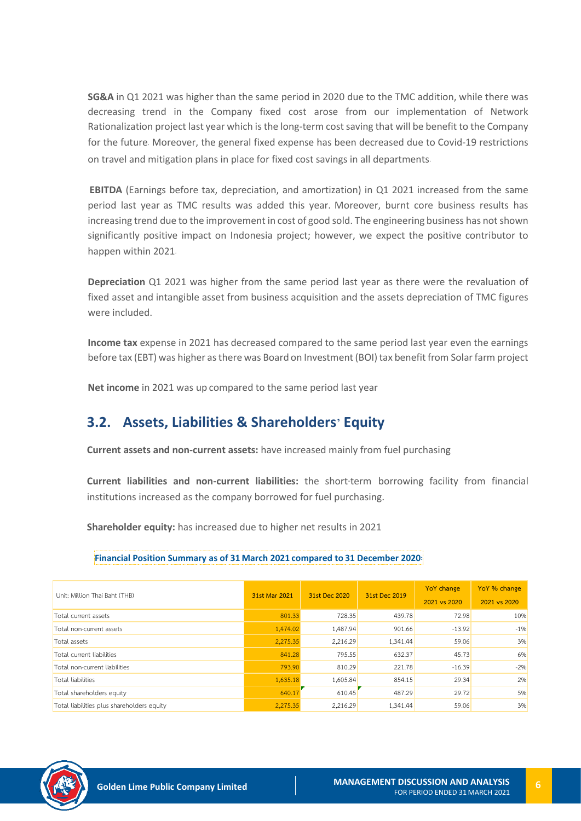**SG&A** in Q1 2021 was higher than the same period in 2020 due to the TMC addition, while there was decreasing trend in the Company fixed cost arose from our implementation of Network Rationalization project last year which is the long-term cost saving that will be benefit to the Company for the future. Moreover, the general fixed expense has been decreased due to Covid-19 restrictions on travel and mitigation plans in place for fixed cost savings in all departments.

**EBITDA** (Earnings before tax, depreciation, and amortization) in Q1 2021 increased from the same period last year as TMC results was added this year. Moreover, burnt core business results has increasing trend due to the improvement in cost of good sold. The engineering business has not shown significantly positive impact on Indonesia project; however, we expect the positive contributor to happen within 2021.

**Depreciation** Q1 2021 was higher from the same period last year as there were the revaluation of fixed asset and intangible asset from business acquisition and the assets depreciation of TMC figures were included.

**Income tax** expense in 2021 has decreased compared to the same period last year even the earnings before tax (EBT) was higher as there was Board on Investment (BOI) tax benefit from Solar farm project

**Net income** in 2021 was up compared to the same period last year

### **3.2. Assets, Liabilities & Shareholders' Equity**

**Current assets and non-current assets:** have increased mainly from fuel purchasing

**Current liabilities and non-current liabilities:** the short-term borrowing facility from financial institutions increased as the company borrowed for fuel purchasing.

**Shareholder equity:** has increased due to higher net results in 2021

### **Financial Position Summary as of 31 March 2021 compared to 31 December 2020:**

| Unit: Million Thai Baht (THB)              | 31st Mar 2021 | 31st Dec 2020 | 31st Dec 2019 | YoY change<br>2021 vs 2020 | YoY % change<br>2021 vs 2020 |
|--------------------------------------------|---------------|---------------|---------------|----------------------------|------------------------------|
| Total current assets                       | 801.33        | 728.35        | 439.78        | 72.98                      | 10%                          |
| Total non-current assets                   | 1,474.02      | 1,487.94      | 901.66        | $-13.92$                   | $-1%$                        |
| Total assets                               | 2,275.35      | 2,216.29      | 1,341.44      | 59.06                      | 3%                           |
| Total current liabilities                  | 841.28        | 795.55        | 632.37        | 45.73                      | 6%                           |
| Total non-current liabilities              | 793.90        | 810.29        | 221.78        | $-16.39$                   | $-2%$                        |
| Total liabilities                          | 1,635.18      | 1,605.84      | 854.15        | 29.34                      | 2%                           |
| Total shareholders equity                  | 640.17        | 610.45        | 487.29        | 29.72                      | 5%                           |
| Total liabilities plus shareholders equity | 2,275.35      | 2,216.29      | 1,341.44      | 59.06                      | 3%                           |